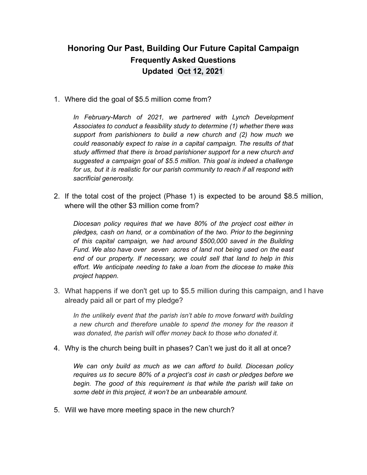## **Honoring Our Past, Building Our Future Capital Campaign Frequently Asked Questions Updated Oct 12, 2021**

1. Where did the goal of \$5.5 million come from?

*In February-March of 2021, we partnered with Lynch Development Associates to conduct a feasibility study to determine (1) whether there was support from parishioners to build a new church and (2) how much we could reasonably expect to raise in a capital campaign. The results of that study affirmed that there is broad parishioner support for a new church and suggested a campaign goal of \$5.5 million. This goal is indeed a challenge for us, but it is realistic for our parish community to reach if all respond with sacrificial generosity.*

2. If the total cost of the project (Phase 1) is expected to be around \$8.5 million, where will the other \$3 million come from?

*Diocesan policy requires that we have 80% of the project cost either in pledges, cash on hand, or a combination of the two. Prior to the beginning of this capital campaign, we had around \$500,000 saved in the Building Fund. We also have over seven acres of land not being used on the east end of our property. If necessary, we could sell that land to help in this effort. We anticipate needing to take a loan from the diocese to make this project happen.*

3. What happens if we don't get up to \$5.5 million during this campaign, and I have already paid all or part of my pledge?

*In the unlikely event that the parish isn't able to move forward with building a new church and therefore unable to spend the money for the reason it was donated, the parish will offer money back to those who donated it.*

4. Why is the church being built in phases? Can't we just do it all at once?

*We can only build as much as we can afford to build. Diocesan policy requires us to secure 80% of a project's cost in cash or pledges before we begin. The good of this requirement is that while the parish will take on some debt in this project, it won't be an unbearable amount.*

5. Will we have more meeting space in the new church?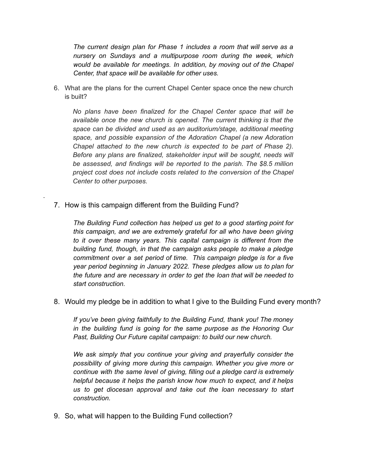*The current design plan for Phase 1 includes a room that will serve as a nursery on Sundays and a multipurpose room during the week, which would be available for meetings. In addition, by moving out of the Chapel Center, that space will be available for other uses.*

6. What are the plans for the current Chapel Center space once the new church is built?

*No plans have been finalized for the Chapel Center space that will be available once the new church is opened. The current thinking is that the space can be divided and used as an auditorium/stage, additional meeting space, and possible expansion of the Adoration Chapel (a new Adoration Chapel attached to the new church is expected to be part of Phase 2). Before any plans are finalized, stakeholder input will be sought, needs will be assessed, and findings will be reported to the parish. The \$8.5 million project cost does not include costs related to the conversion of the Chapel Center to other purposes.*

7. How is this campaign different from the Building Fund?

.

*The Building Fund collection has helped us get to a good starting point for this campaign, and we are extremely grateful for all who have been giving to it over these many years. This capital campaign is different from the building fund, though, in that the campaign asks people to make a pledge commitment over a set period of time. This campaign pledge is for a five year period beginning in January 2022. These pledges allow us to plan for the future and are necessary in order to get the loan that will be needed to start construction.*

8. Would my pledge be in addition to what I give to the Building Fund every month?

*If you've been giving faithfully to the Building Fund, thank you! The money in the building fund is going for the same purpose as the Honoring Our Past, Building Our Future capital campaign: to build our new church.*

*We ask simply that you continue your giving and prayerfully consider the possibility of giving more during this campaign. Whether you give more or continue with the same level of giving, filling out a pledge card is extremely helpful because it helps the parish know how much to expect, and it helps us to get diocesan approval and take out the loan necessary to start construction.*

9. So, what will happen to the Building Fund collection?